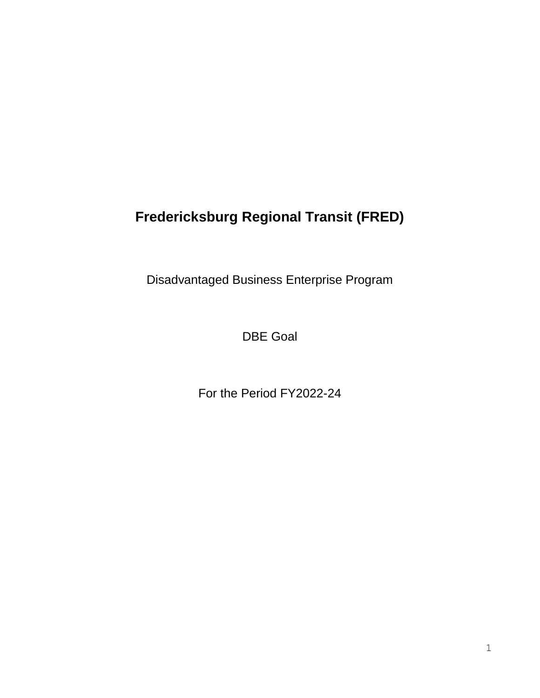# **Fredericksburg Regional Transit (FRED)**

Disadvantaged Business Enterprise Program

DBE Goal

For the Period FY2022-24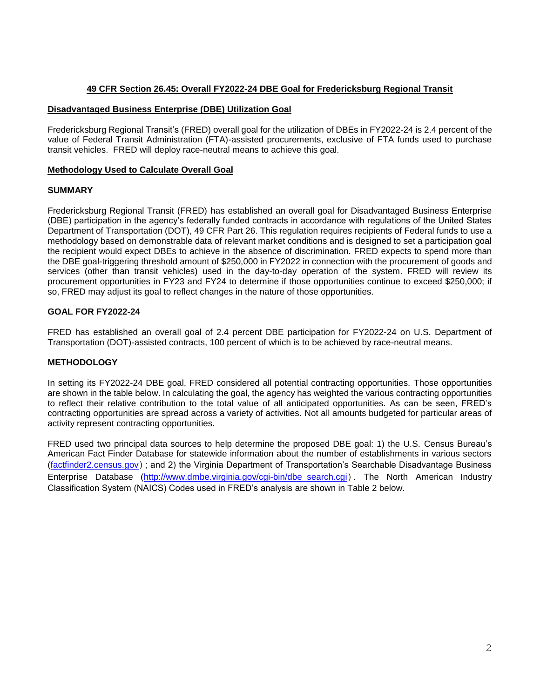#### **49 CFR Section 26.45: Overall FY2022-24 DBE Goal for Fredericksburg Regional Transit**

#### **Disadvantaged Business Enterprise (DBE) Utilization Goal**

Fredericksburg Regional Transit's (FRED) overall goal for the utilization of DBEs in FY2022-24 is 2.4 percent of the value of Federal Transit Administration (FTA)-assisted procurements, exclusive of FTA funds used to purchase transit vehicles. FRED will deploy race-neutral means to achieve this goal.

#### **Methodology Used to Calculate Overall Goal**

#### **SUMMARY**

Fredericksburg Regional Transit (FRED) has established an overall goal for Disadvantaged Business Enterprise (DBE) participation in the agency's federally funded contracts in accordance with regulations of the United States Department of Transportation (DOT), 49 CFR Part 26. This regulation requires recipients of Federal funds to use a methodology based on demonstrable data of relevant market conditions and is designed to set a participation goal the recipient would expect DBEs to achieve in the absence of discrimination. FRED expects to spend more than the DBE goal-triggering threshold amount of \$250,000 in FY2022 in connection with the procurement of goods and services (other than transit vehicles) used in the day-to-day operation of the system. FRED will review its procurement opportunities in FY23 and FY24 to determine if those opportunities continue to exceed \$250,000; if so, FRED may adjust its goal to reflect changes in the nature of those opportunities.

#### **GOAL FOR FY2022-24**

FRED has established an overall goal of 2.4 percent DBE participation for FY2022-24 on U.S. Department of Transportation (DOT)-assisted contracts, 100 percent of which is to be achieved by race-neutral means.

#### **METHODOLOGY**

In setting its FY2022-24 DBE goal, FRED considered all potential contracting opportunities. Those opportunities are shown in the table below. In calculating the goal, the agency has weighted the various contracting opportunities to reflect their relative contribution to the total value of all anticipated opportunities. As can be seen, FRED's contracting opportunities are spread across a variety of activities. Not all amounts budgeted for particular areas of activity represent contracting opportunities.

FRED used two principal data sources to help determine the proposed DBE goal: 1) the U.S. Census Bureau's American Fact Finder Database for statewide information about the number of establishments in various sectors [\(factfinder2.census.gov](http://factfinder2.census.gov/faces/nav/jsf/pages/index.xhtml)); and 2) the Virginia Department of Transportation's Searchable Disadvantage Business Enterprise Database [\(http://www.dmbe.virginia.gov/cgi-bin/dbe\\_search.cgi](http://www.dmbe.virginia.gov/cgi-bin/dbe_search.cgi)). The North American Industry Classification System (NAICS) Codes used in FRED's analysis are shown in Table 2 below.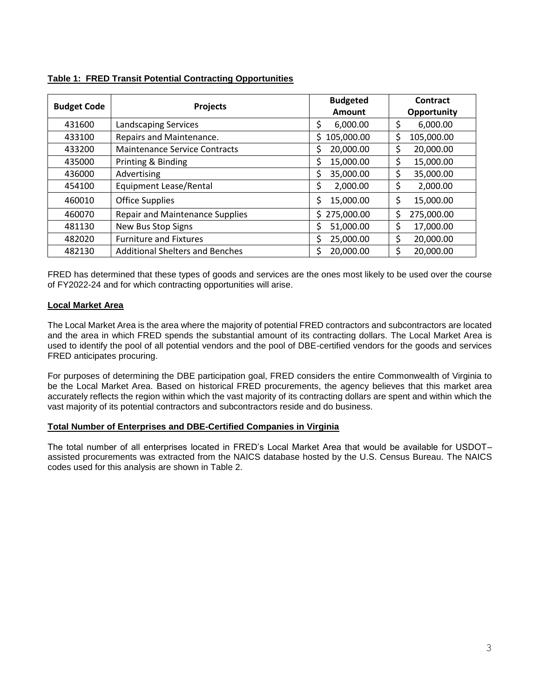| <b>Budget Code</b> | <b>Projects</b>                        | <b>Budgeted</b>  | Contract         |  |
|--------------------|----------------------------------------|------------------|------------------|--|
|                    |                                        | Amount           | Opportunity      |  |
| 431600             | <b>Landscaping Services</b>            | 6,000.00<br>S    | \$<br>6,000.00   |  |
| 433100             | Repairs and Maintenance.               | 105,000.00<br>S. | \$<br>105,000.00 |  |
| 433200             | Maintenance Service Contracts          | 20,000.00<br>\$  | \$<br>20,000.00  |  |
| 435000             | Printing & Binding                     | Ś<br>15,000.00   | \$<br>15,000.00  |  |
| 436000             | Advertising                            | 35,000.00<br>\$  | \$<br>35,000.00  |  |
| 454100             | Equipment Lease/Rental                 | 2,000.00         | \$<br>2,000.00   |  |
| 460010             | <b>Office Supplies</b>                 | \$<br>15,000.00  | \$<br>15,000.00  |  |
| 460070             | <b>Repair and Maintenance Supplies</b> | 275,000.00<br>S. | \$<br>275,000.00 |  |
| 481130             | New Bus Stop Signs                     | 51,000.00        | Ś<br>17,000.00   |  |
| 482020             | <b>Furniture and Fixtures</b>          | 25,000.00        | \$<br>20,000.00  |  |
| 482130             | <b>Additional Shelters and Benches</b> | 20,000.00<br>Ś   | Ś<br>20,000.00   |  |

FRED has determined that these types of goods and services are the ones most likely to be used over the course of FY2022-24 and for which contracting opportunities will arise.

## **Local Market Area**

The Local Market Area is the area where the majority of potential FRED contractors and subcontractors are located and the area in which FRED spends the substantial amount of its contracting dollars. The Local Market Area is used to identify the pool of all potential vendors and the pool of DBE-certified vendors for the goods and services FRED anticipates procuring.

For purposes of determining the DBE participation goal, FRED considers the entire Commonwealth of Virginia to be the Local Market Area. Based on historical FRED procurements, the agency believes that this market area accurately reflects the region within which the vast majority of its contracting dollars are spent and within which the vast majority of its potential contractors and subcontractors reside and do business.

#### **Total Number of Enterprises and DBE-Certified Companies in Virginia**

The total number of all enterprises located in FRED's Local Market Area that would be available for USDOT– assisted procurements was extracted from the NAICS database hosted by the U.S. Census Bureau. The NAICS codes used for this analysis are shown in Table 2.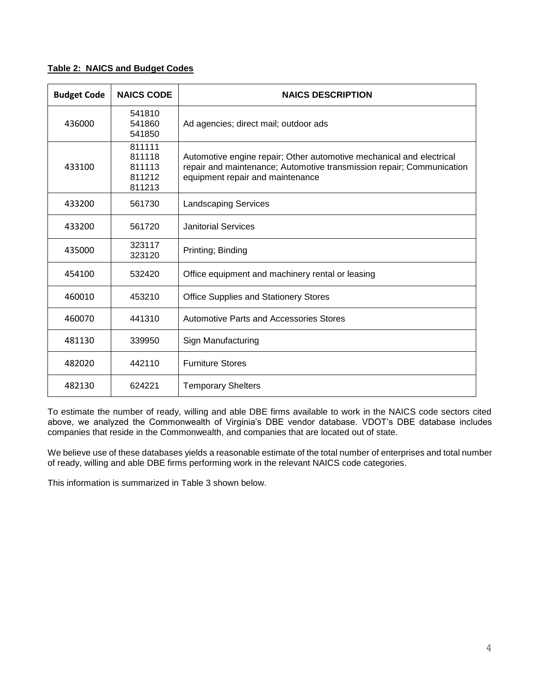### **Table 2: NAICS and Budget Codes**

| <b>Budget Code</b> | <b>NAICS CODE</b>                              | <b>NAICS DESCRIPTION</b>                                                                                                                                                          |  |  |
|--------------------|------------------------------------------------|-----------------------------------------------------------------------------------------------------------------------------------------------------------------------------------|--|--|
| 436000             | 541810<br>541860<br>541850                     | Ad agencies; direct mail; outdoor ads                                                                                                                                             |  |  |
| 433100             | 811111<br>811118<br>811113<br>811212<br>811213 | Automotive engine repair; Other automotive mechanical and electrical<br>repair and maintenance; Automotive transmission repair; Communication<br>equipment repair and maintenance |  |  |
| 433200             | 561730                                         | <b>Landscaping Services</b>                                                                                                                                                       |  |  |
| 433200             | 561720                                         | <b>Janitorial Services</b>                                                                                                                                                        |  |  |
| 435000             | 323117<br>323120                               | Printing; Binding                                                                                                                                                                 |  |  |
| 454100             | 532420                                         | Office equipment and machinery rental or leasing                                                                                                                                  |  |  |
| 460010             | 453210                                         | <b>Office Supplies and Stationery Stores</b>                                                                                                                                      |  |  |
| 460070             | 441310                                         | Automotive Parts and Accessories Stores                                                                                                                                           |  |  |
| 481130             | 339950                                         | Sign Manufacturing                                                                                                                                                                |  |  |
| 482020             | 442110                                         | <b>Furniture Stores</b>                                                                                                                                                           |  |  |
| 482130             | 624221                                         | <b>Temporary Shelters</b>                                                                                                                                                         |  |  |

To estimate the number of ready, willing and able DBE firms available to work in the NAICS code sectors cited above, we analyzed the Commonwealth of Virginia's DBE vendor database. VDOT's DBE database includes companies that reside in the Commonwealth, and companies that are located out of state.

We believe use of these databases yields a reasonable estimate of the total number of enterprises and total number of ready, willing and able DBE firms performing work in the relevant NAICS code categories.

This information is summarized in Table 3 shown below.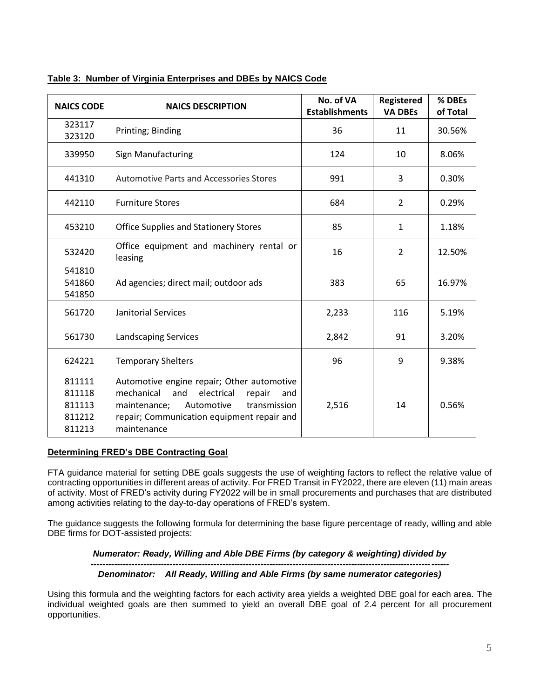| <b>NAICS CODE</b>                              | <b>NAICS DESCRIPTION</b>                                                                                                                                                                                  | No. of VA<br><b>Establishments</b> | Registered<br><b>VA DBEs</b> | % DBEs<br>of Total |
|------------------------------------------------|-----------------------------------------------------------------------------------------------------------------------------------------------------------------------------------------------------------|------------------------------------|------------------------------|--------------------|
| 323117<br>323120                               | Printing; Binding                                                                                                                                                                                         | 36                                 | 11                           | 30.56%             |
| 339950                                         | Sign Manufacturing                                                                                                                                                                                        | 124                                | 10                           | 8.06%              |
| 441310                                         | <b>Automotive Parts and Accessories Stores</b>                                                                                                                                                            | 991                                | 3                            | 0.30%              |
| 442110                                         | <b>Furniture Stores</b>                                                                                                                                                                                   | 684                                | $\overline{2}$               | 0.29%              |
| 453210                                         | <b>Office Supplies and Stationery Stores</b>                                                                                                                                                              | 85                                 | $\mathbf{1}$                 | 1.18%              |
| 532420                                         | Office equipment and machinery rental or<br>leasing                                                                                                                                                       | 16                                 | $\overline{2}$               | 12.50%             |
| 541810<br>541860<br>541850                     | Ad agencies; direct mail; outdoor ads                                                                                                                                                                     | 383                                | 65                           | 16.97%             |
| 561720                                         | Janitorial Services                                                                                                                                                                                       | 2,233                              | 116                          | 5.19%              |
| 561730                                         | <b>Landscaping Services</b>                                                                                                                                                                               | 2,842                              | 91                           | 3.20%              |
| 624221                                         | <b>Temporary Shelters</b>                                                                                                                                                                                 | 96                                 | 9                            | 9.38%              |
| 811111<br>811118<br>811113<br>811212<br>811213 | Automotive engine repair; Other automotive<br>mechanical<br>electrical<br>and<br>repair<br>and<br>Automotive<br>transmission<br>maintenance;<br>repair; Communication equipment repair and<br>maintenance | 2,516                              | 14                           | 0.56%              |

### **Table 3: Number of Virginia Enterprises and DBEs by NAICS Code**

#### **Determining FRED's DBE Contracting Goal**

FTA guidance material for setting DBE goals suggests the use of weighting factors to reflect the relative value of contracting opportunities in different areas of activity. For FRED Transit in FY2022, there are eleven (11) main areas of activity. Most of FRED's activity during FY2022 will be in small procurements and purchases that are distributed among activities relating to the day-to-day operations of FRED's system.

The guidance suggests the following formula for determining the base figure percentage of ready, willing and able DBE firms for DOT-assisted projects:

#### *Numerator: Ready, Willing and Able DBE Firms (by category & weighting) divided by*

#### *-------------------------------------------------------------------------------------------------------------------------- Denominator: All Ready, Willing and Able Firms (by same numerator categories)*

Using this formula and the weighting factors for each activity area yields a weighted DBE goal for each area. The individual weighted goals are then summed to yield an overall DBE goal of 2.4 percent for all procurement opportunities.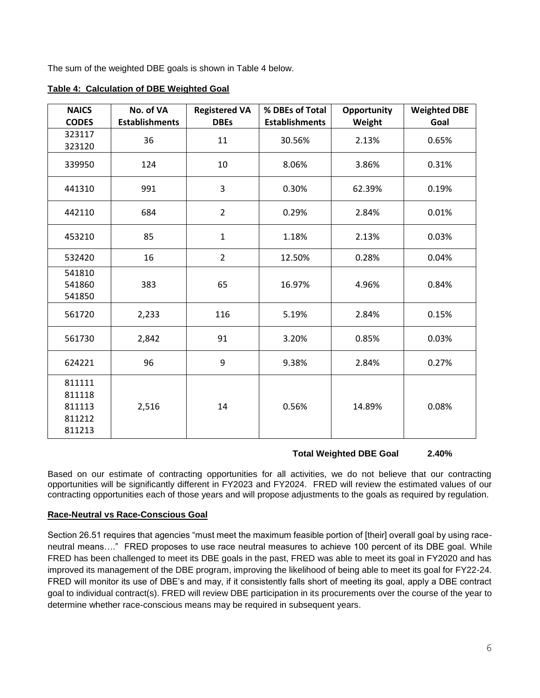The sum of the weighted DBE goals is shown in Table 4 below.

| <b>NAICS</b>                                   | No. of VA             | <b>Registered VA</b> | % DBEs of Total       | <b>Opportunity</b> | <b>Weighted DBE</b> |
|------------------------------------------------|-----------------------|----------------------|-----------------------|--------------------|---------------------|
| <b>CODES</b>                                   | <b>Establishments</b> | <b>DBEs</b>          | <b>Establishments</b> | Weight             | Goal                |
| 323117<br>323120                               | 36                    | 11                   | 30.56%                | 2.13%              | 0.65%               |
| 339950                                         | 124                   | 10                   | 8.06%                 | 3.86%              | 0.31%               |
| 441310                                         | 991                   | 3                    | 0.30%                 | 62.39%             | 0.19%               |
| 442110                                         | 684                   | $\overline{2}$       | 0.29%                 | 2.84%              | 0.01%               |
| 453210                                         | 85                    | $\mathbf{1}$         | 1.18%                 | 2.13%              | 0.03%               |
| 532420                                         | 16                    | $\overline{2}$       | 12.50%                | 0.28%              | 0.04%               |
| 541810<br>541860<br>541850                     | 383                   | 65                   | 16.97%                | 4.96%              | 0.84%               |
| 561720                                         | 2,233                 | 116                  | 5.19%                 | 2.84%              | 0.15%               |
| 561730                                         | 2,842                 | 91                   | 3.20%                 | 0.85%              | 0.03%               |
| 624221                                         | 96                    | 9                    | 9.38%                 | 2.84%              | 0.27%               |
| 811111<br>811118<br>811113<br>811212<br>811213 | 2,516                 | 14                   | 0.56%                 | 14.89%             | 0.08%               |

**Table 4: Calculation of DBE Weighted Goal**

# **Total Weighted DBE Goal 2.40%**

Based on our estimate of contracting opportunities for all activities, we do not believe that our contracting opportunities will be significantly different in FY2023 and FY2024. FRED will review the estimated values of our contracting opportunities each of those years and will propose adjustments to the goals as required by regulation.

#### **Race-Neutral vs Race-Conscious Goal**

Section 26.51 requires that agencies "must meet the maximum feasible portion of [their] overall goal by using raceneutral means…." FRED proposes to use race neutral measures to achieve 100 percent of its DBE goal. While FRED has been challenged to meet its DBE goals in the past, FRED was able to meet its goal in FY2020 and has improved its management of the DBE program, improving the likelihood of being able to meet its goal for FY22-24. FRED will monitor its use of DBE's and may, if it consistently falls short of meeting its goal, apply a DBE contract goal to individual contract(s). FRED will review DBE participation in its procurements over the course of the year to determine whether race-conscious means may be required in subsequent years.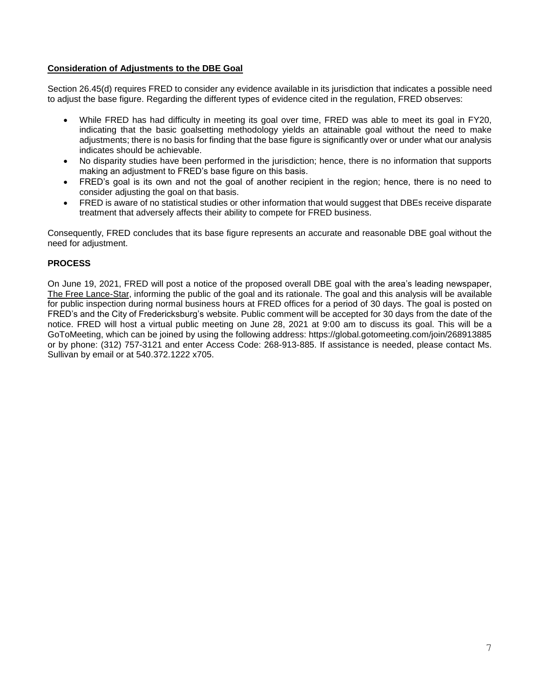#### **Consideration of Adjustments to the DBE Goal**

Section 26.45(d) requires FRED to consider any evidence available in its jurisdiction that indicates a possible need to adjust the base figure. Regarding the different types of evidence cited in the regulation, FRED observes:

- While FRED has had difficulty in meeting its goal over time, FRED was able to meet its goal in FY20, indicating that the basic goalsetting methodology yields an attainable goal without the need to make adjustments; there is no basis for finding that the base figure is significantly over or under what our analysis indicates should be achievable.
- No disparity studies have been performed in the jurisdiction; hence, there is no information that supports making an adjustment to FRED's base figure on this basis.
- FRED's goal is its own and not the goal of another recipient in the region; hence, there is no need to consider adjusting the goal on that basis.
- FRED is aware of no statistical studies or other information that would suggest that DBEs receive disparate treatment that adversely affects their ability to compete for FRED business.

Consequently, FRED concludes that its base figure represents an accurate and reasonable DBE goal without the need for adjustment.

#### **PROCESS**

On June 19, 2021, FRED will post a notice of the proposed overall DBE goal with the area's leading newspaper, The Free Lance-Star, informing the public of the goal and its rationale. The goal and this analysis will be available for public inspection during normal business hours at FRED offices for a period of 30 days. The goal is posted on FRED's and the City of Fredericksburg's website. Public comment will be accepted for 30 days from the date of the notice. FRED will host a virtual public meeting on June 28, 2021 at 9:00 am to discuss its goal. This will be a GoToMeeting, which can be joined by using the following address: https://global.gotomeeting.com/join/268913885 or by phone: (312) 757-3121 and enter Access Code: 268-913-885. If assistance is needed, please contact Ms. Sullivan by email or at 540.372.1222 x705.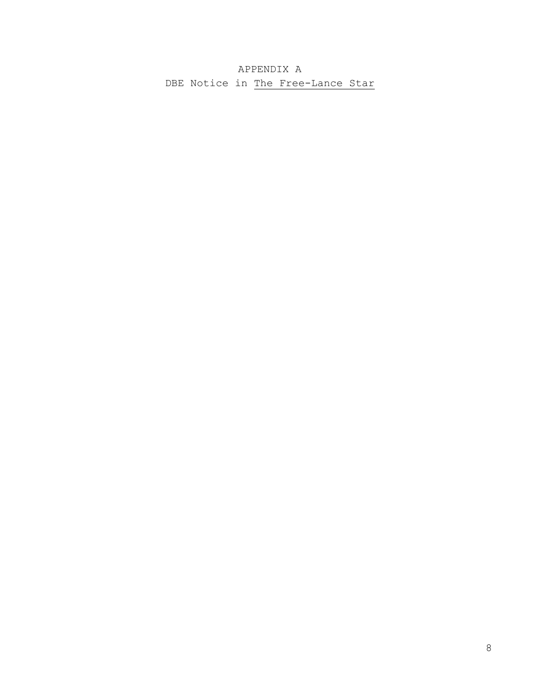APPENDIX A DBE Notice in The Free-Lance Star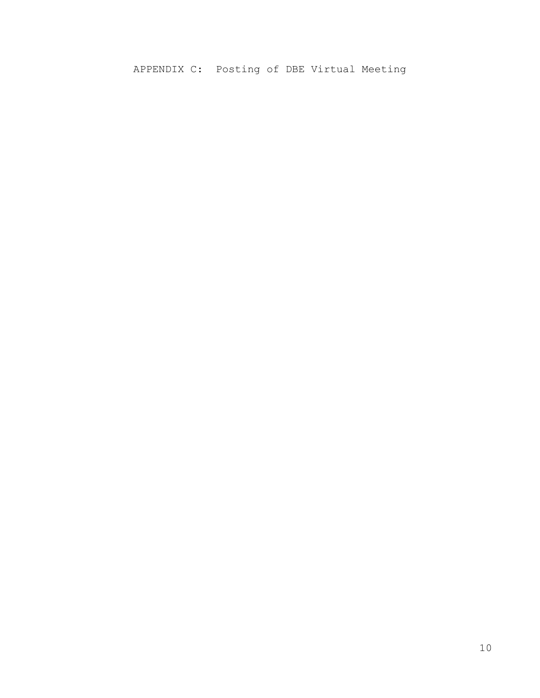# APPENDIX C: Posting of DBE Virtual Meeting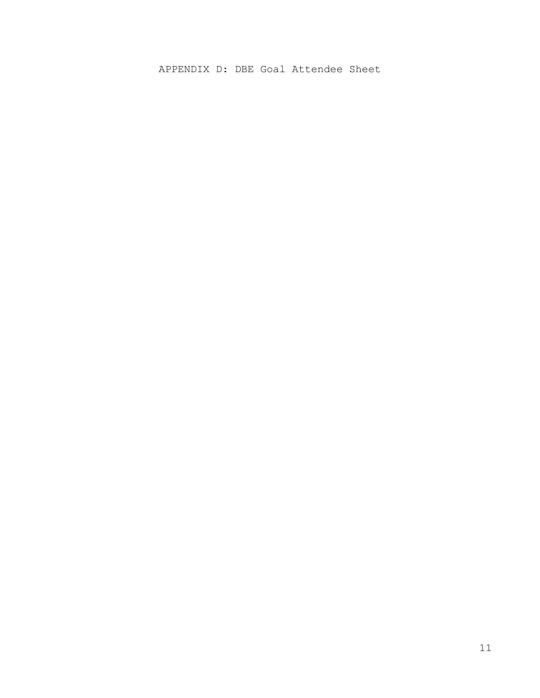APPENDIX D: DBE Goal Attendee Sheet